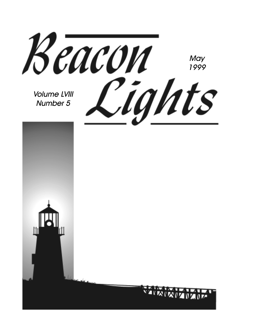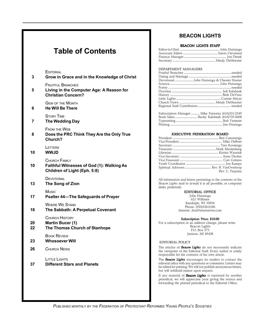### **Table of Contents**

| 3        | EDITORIAL<br>Grow in Grace and in the Knowledge of Christ                                         |
|----------|---------------------------------------------------------------------------------------------------|
| 5        | <b>FRUITFUL BRANCHES</b><br>Living in the Computer Age: A Reason for<br><b>Christian Concern?</b> |
| 6        | <b>GEM OF THE MONTH</b><br><b>He Will Be There</b>                                                |
| 7        | <b>STORY TIME</b><br>The Wedding Day                                                              |
| 8        | <b>FROM THE WEB</b><br>Does the PRC Think They Are the Only True<br>Church?                       |
| 10       | LETTERS<br><b>WWJD</b>                                                                            |
| 10       | CHURCH FAMILY<br><b>Faithful Witnesses of God (1): Walking As</b><br>Children of Light (Eph. 5:8) |
| 13       | DEVOTIONAL<br>The Song of Zion                                                                    |
| 17       | Music<br><b>Psalter 44-The Safeguards of Prayer</b>                                               |
| 18       | <b>WHERE WE STAND</b><br>The Sabbath: A Perpetual Covenant                                        |
| 20<br>22 | <b>CHURCH HISTORY</b><br>Martin Bucer (1)<br>The Thomas Church of Stanhope                        |
| 23       | <b>BOOK REVIEW</b><br><b>Whosoever Will</b>                                                       |
| 26       | <b>CHURCH NEWS</b>                                                                                |
| 37       | LITTLE LIGHTS<br><b>Different Stars and Planets</b>                                               |
|          |                                                                                                   |

### **BEACON LIGHTS**

#### BEACON LIGHTS STAFF

#### DEPARTMENT MANAGERS

| Subscription Manager  Mike Feenstra (616)531-2349 |  |  |
|---------------------------------------------------|--|--|
|                                                   |  |  |
|                                                   |  |  |
|                                                   |  |  |

#### EXECUTIVE FEDERATION BOARD

| Rev. C. Terpstra |
|------------------|

All information and letters pertaining to the contents of the *Beacon Lights* mail to (e-mail if at all possible, or computer disks preferred):

#### EDITORIAL OFFICE

John Huizenga 621 Williams Randolph, WI 53956 Phone: (920)326-6186 Internet: jhui@internetwis.com

Subscription Price: \$10.00

For a subscription or an address change, please write: Beacon Lights P.O. Box 375 Jenison, MI 49428

#### EDITORIAL POLICY

The articles of *Beacon Lights* do not necessarily indicate the viewpoint of the Editorial Staff. Every author is solely responsible for the contents of his own article.

The *Beacon Lights* encourages its readers to contact the editorial office with any questions or comments. Letters may be edited for printing. We will not publish anonymous letters, but will withhold names upon request.

If any material of *Beacon Lights* is reprinted by another periodical, we will appreciate your giving the source and forwarding the printed periodical to the Editorial Office.

*PUBLISHED MONTHLY BY THE FEDERATION OF PROTESTANT REFORMED YOUNG PEOPLE'S SOCIETIES*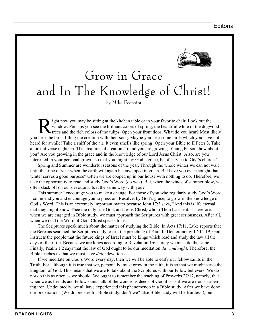

## Grow in Grace and In The Knowledge of Christ!

by Mike Feenstra

Fight now you may be sitting at the kitchen table or in your favorite chair. Look out the window. Perhaps you see the brilliant colors of spring, the beautiful white of the dogwer trees and the rich colors of the tulips. O window. Perhaps you see the brilliant colors of spring, the beautiful white of the dogwood trees and the rich colors of the tulips. Open your front door. What do you hear? Most likely you hear the birds filling the creation with their song. Maybe you hear some birds which you have not heard for awhile! Take a sniff of the air. It even smells like spring! Open your Bible to II Peter 3. Take a look at verse eighteen. The creatures of creation around you are growing. Young Person, how about you? Are you growing in the grace and in the knowledge of our Lord Jesus Christ! Also, are you interested in your personal growth so that you might, by God's grace, be of service to God's church?

Spring and Summer are wonderful seasons of the year. Through the whole winter we can not wait until the time of year when the earth will again be enveloped in green. But have you ever thought that winter serves a good purpose? Often we are cooped up in our house with nothing to do. Therefore, we take the opportunity to read and study God's Word (do we?). But, when the winds of summer blow, we often slack off on our devotions. Is it the same way with you?

This summer I encourage you to make a change. For those of you who regularly study God's Word, I commend you and encourage you to press on. Resolve, by God's grace, to grow in the knowledge of God's Word. This is an extremely important matter because John 17:3 says, "And this is life eternal, that they might know Thee the only true God, and Jesus Christ, whom Thou hast sent." Therefore, when we are engaged in Bible study, we must approach the Scriptures with great seriousness. After all, when we read the Word of God, Christ speaks to us.

The Scriptures speak much about the matter of studying the Bible. In Acts 17:11, Luke reports that the Bereans searched the Scriptures daily to test the preaching of Paul. In Deuteronomy 17:14-19, God instructs the people that the future kings of Israel must be kings which read and study the law all the days of their life. Because we are kings according to Revelation 1:6, surely we must do the same. Finally, Psalm 1:2 says that the law of God ought to be our meditation *day and night*. Therefore, the Bible teaches us that we must have *daily* devotions.

If we meditate on God's Word every day, then we will be able to edify our fellow saints in the Truth. For, although it is true that we, personally, must grow in the faith, it is so that we might serve the kingdom of God. This means that we are to talk about the Scriptures with our fellow believers. We do not do this as often as we should. We ought to remember the teaching of Proverbs 27:17, namely, that when we as friends and fellow saints talk of the wondrous deeds of God it is as if we are iron sharpening iron. Undoubtedly, we all have experienced this phenomenon in a Bible study. After we have done our preparations (We do prepare for Bible study, don't we? Else Bible study will be fruitless.), our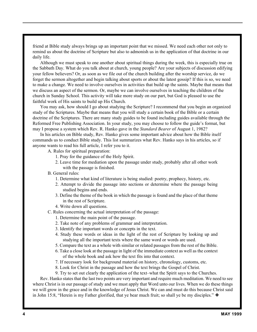friend at Bible study always brings up an important point that we missed. We need each other not only to remind us about the doctrine of Scripture but also to admonish us in the application of that doctrine in our daily life.

Although we must speak to one another about spiritual things during the week, this is especially true on the Sabbath Day. What do you talk about at church, young people? Are your subjects of discussion edifying your fellow believers? Or, as soon as we file out of the church building after the worship service, do we forget the sermon altogether and begin talking about sports or about the latest gossip? If this is so, we need to make a change. We need to involve ourselves in activities that build up the saints. Maybe that means that we discuss an aspect of the sermon. Or, maybe we can involve ourselves in teaching the children of the church in Sunday School. This activity will take more study on our part, but God is pleased to use the faithful work of His saints to build up His Church.

You may ask, how should I go about studying the Scripture? I recommend that you begin an organized study of the Scriptures. Maybe that means that you will study a certain book of the Bible or a certain doctrine of the Scriptures. There are many study guides to be found including guides available through the Reformed Free Publishing Association. In your study, you may choose to follow the guide's format, but may I propose a system which Rev. R. Hanko gave in the *Standard Bearer* of August 1, 1982?

In his articles on Bible study, Rev. Hanko gives some important advice about how the Bible itself commands us to conduct Bible study. This list summarizes what Rev. Hanko says in his articles, so if anyone wants to read his full article, I refer you to it.

- A. Rules for spiritual preparation:
	- 1. Pray for the guidance of the Holy Spirit.
	- 2. Leave time for mediation upon the passage under study, probably after all other work with the passage is finished.
- B. General rules:
	- 1. Determine what kind of literature is being studied: poetry, prophecy, history, etc.
	- 2. Attempt to divide the passage into sections or determine where the passage being studied begins and ends.
	- 3. Define the theme of the book in which the passage is found and the place of that theme in the rest of Scripture.
	- 4. Write down all questions.
- C. Rules concerning the actual interpretation of the passage:
	- 1. Determine the main point of the passage.
	- 2. Take note of any problems of grammar and interpretation.
	- 3. Identify the important words or concepts in the text.
	- 4. Study these words or ideas in the light of the rest of Scripture by looking up and studying all the important texts where the same word or words are used.
	- 5. Compare the text as a whole with similar or related passages from the rest of the Bible.
	- 6. Take a close look at the passage in light of the immediate context as well as the context of the whole book and ask how the text fits into that context.
	- 7. If necessary look for background material on history, chronology, customs, etc.
	- 8. Look for Christ in the passage and how the text brings the Gospel of Christ.
	- 9. Try to set out clearly the application of the text–what the Spirit says to the Churches.

Rev. Hanko states that the last two points are very important and require much meditation. We need to see where Christ is in our passage of study and we must apply that Word unto our lives. When we do these things we will grow in the grace and in the knowledge of Jesus Christ. We can and must do this because Christ said in John 15:8, "Herein is my Father glorified, that ye bear much fruit; so shall ye be my disciples." ❖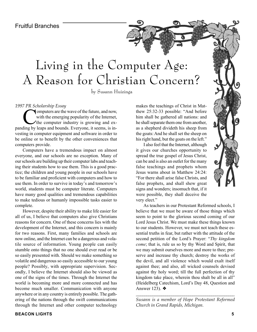## Living in the Computer Age: A Reason for Christian Concern?

by Susann Huizinga

#### *1997 PR Scholarship Essay*

Computers are the wave of the future, and now,<br>with the emerging popularity of the Internet,<br>the computer industry is growing and exwith the emerging popularity of the Internet, panding by leaps and bounds. Everyone, it seems, is investing in computer equipment and software in order to be online or to benefit by the other conveniences that computers provide.

Computers have a tremendous impact on almost everyone, and our schools are no exception. Many of our schools are building up their computer labs and teaching their students how to use them. This is a good practice; the children and young people in our schools have to be familiar and proficient with computers and how to use them. In order to survive in today's and tomorrow's world, students must be computer literate. Computers have many good qualities and tremendous capabilities to make tedious or humanly impossible tasks easier to complete.

However, despite their ability to make life easier for all of us, I believe that computers also give Christians reasons for concern. One of these concerns lies with the development of the Internet, and this concern is mainly for two reasons. First, many families and schools are now online, and the Internet can be a dangerous and volatile source of information. Young people can easily stumble onto things that no one should ever read or be so easily presented with. Should we make something so volatile and dangerous so easily accessible to our young people? Possibly, with appropriate supervision. Secondly, I believe the Internet should also be viewed as one of the signs of the times. Through the Internet the world is becoming more and more connected and has become much smaller. Communication with anyone anywhere or in any country is entirely possible. The gathering of the nations through the swift communications through the Internet and other computer technology

makes the teachings of Christ in Matthew 25:32-33 possible: "And before him shall be gathered all nations: and he shall separate them one from another, as a shepherd divideth his sheep from the goats: And he shall set the sheep on his right hand, but the goats on the left."

I also feel that the Internet, although it gives our churches opportunity to spread the true gospel of Jesus Christ, can be and is also an outlet for the many false teachings and prophets whom Jesus warns about in Matthew 24:24: "For there shall arise false Christs, and false prophets, and shall shew great signs and wonders; insomuch that, if it were possible, they shall deceive the very elect."



As teachers in our Protestant Reformed schools, I believe that we must be aware of those things which seem to point to the glorious second coming of our Lord Jesus Christ. We must make these things known to our students. However, we must not teach these essential truths in fear, but rather with the attitude of the second petition of the Lord's Prayer: "*Thy kingdom come*; that is, rule us so by thy Word and Spirit, that we may submit ourselves more and more to thee; preserve and increase thy church; destroy the works of the devil, and all violence which would exalt itself against thee; and also, all wicked counsels devised against thy holy word; till the full perfection of thy kingdom take place, wherein thou shalt be all in all" (Heidelberg Catechism, Lord's Day 48, Question and Answer 123). ❖

*\_\_\_\_\_\_\_\_\_\_\_\_\_\_\_\_\_\_\_\_\_\_\_\_\_\_\_\_\_\_\_\_\_\_\_\_\_\_\_\_\_\_\_\_\_\_\_ Susann is a member of Hope Protestant Reformed Church in Grand Rapids, Michigan.*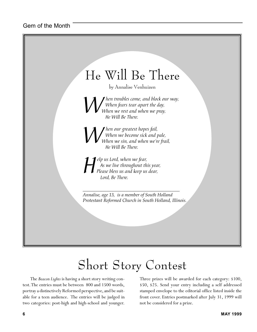

# Short Story Contest

The *Beacon Lights* is having a short story writing contest. The entries must be between 800 and 1500 words, portray a distinctively Reformed perspective, and be suitable for a teen audience. The entries will be judged in two categories: post-high and high-school and younger. Three prizes will be awarded for each category: \$100, \$50, \$25. Send your entry including a self addressed stamped envelope to the editorial office listed inside the front cover. Entries postmarked after July 31, 1999 will not be considered for a prize.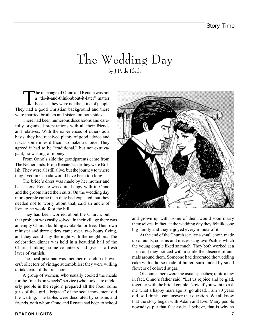### The Wedding Day by J.P. de Klerk

The marriage of Onno and Renate was not<br>
a "do-it-and-think-about-it-later" matter<br>
because they were not that kind of people<br>
whad a good Christian background and there a "do-it-and-think-about-it-later" matter They had a good Christian background and there were married brothers and sisters on both sides.

There had been numerous discussions and carefully organized preparations with all their friends and relatives. With the experiences of others as a basis, they had received plenty of good advice and it was sometimes difficult to make a choice. They agreed it had to be "traditional," but not extravagant; no wasting of money.

From Onno's side the grandparents came from The Netherlands. From Renate's side they were British. They were all still alive, but the journey to where they lived in Canada would have been too long.

The bride's dress was made by her mother and her sisters; Renate was quite happy with it. Onno and the groom hired their suits. On the wedding day more people came than they had expected, but they needed not to worry about that, said an uncle of Renate-he would foot the bill.

They had been worried about the Church, but that problem was easily solved. In their village there was an empty Church building available for free. Their own minister and three elders came over, two hours flying, and they could stay the night with the neighbors. The celebration dinner was held in a beautiful hall of the Church building; some volunteers had given it a fresh layer of varnish.

The local postman was member of a club of owners/collectors of vintage automobiles; they were willing to take care of the transport.

A group of women, who usually cooked the meals for the "meals on wheels" service (who took care of elderly people in the region) prepared all the food; some girls of the "girl's brigade" of the scout movement did the waiting. The tables were decorated by cousins and friends, with whom Onno and Renate had been to school



and grown up with; some of them would soon marry themselves. In fact, at the wedding day they felt like one big family and they enjoyed every minute of it.

At the end of the Church service a small choir, made up of aunts, cousins and nieces sang two Psalms which the young couple liked so much. They both worked at a farm and they noticed with a smile the absence of animals around them. Someone had decorated the wedding cake with a horse made of butter, surrounded by small flowers of colored sugar.

Of course there were the usual speeches; quite a few in fact. Onno's father said: "Let us rejoice and be glad, together with the bridal couple. Now, if you want to ask me what a happy marriage is, go ahead. I am 80 years old, so I think I can answer that question. We all know that the story began with Adam and Eve. Many people nowadays put that fact aside. I believe, that is why so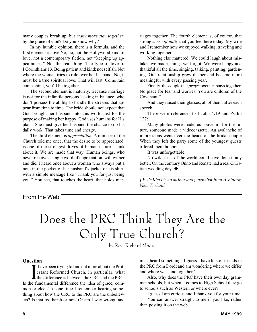many couples break up, but *many more stay together,* by the grace of God? Do you know why?

In my humble opinion, there is a formula, and the first element is love No, no, not the Hollywood kind of love, not a contemporary fiction, not "keeping up appearances." No, the real thing. The type of love of I Corinthians 13. Being patient and kind; not selfish. Not where the woman tries to rule over her husband. No, it must be a true spiritual love. That will last. Come rain come shine, you'll be together.

The second element is maturity. Because marriage is not for the infantile persons lacking in balance, who don't possess the ability to handle the stresses that appear from time to time. The bride should not expect that God brought her husband into this world just for the purpose of making her happy. God uses humans for His plans. She must give her husband the chance to do his daily work. That takes time and energy.

The third element is *appreciation.* A minister of the Church told me once, that the desire to be appreciated, is one of the strongest drives of human nature. Think about it. We are made that way. Human beings, who never receive a single word of appreciation, will wither and die. I heard once about a woman who always put a note in the pocket of her husband's jacket or his shirt, with a simple message like "Thank you for just being you." You see, that touches the heart, that holds marriages together. The fourth element is, of course, that strong *sense of unity* that you feel here today. My wife and I remember how we enjoyed walking, traveling and working together.

Nothing else mattered. We could laugh about mistakes we made, things we forgot. We were happy and thankful all the time, singing, talking, painting, gardening. Our relationship grew deeper and became more meaningful with every passing year.

Finally, the couple that *prays* together, stays together. No place for fear and worries. You are children of the Covenant."

And they raised their glasses, all of them, after each speech.

There were references to I John 4:19 and Psalm 127:1.

Many photos were made, as souvenirs for the future, someone made a videocassette. An avalanche of impressions went over the heads of the bridal couple When they left the party some of the youngest guests offered them bonbons.

It was unforgettable.

No wild feast of the world could have done it any better. On the contrary Onno and Renate had a real Christian wedding day. ❖

*\_\_\_\_\_\_\_\_\_\_\_\_\_\_\_\_\_\_\_\_\_\_\_\_\_\_\_\_\_\_\_\_\_\_\_\_\_\_\_\_\_\_\_\_\_\_ J.P. de Klerk is an author and journalist from Ashhurst, New Zeeland.*

### From the Web

# Does the PRC Think They Are the Only True Church?

by Rev. Richard Moore

#### **Question**

I have been trying to find out more about the Prot-<br>
estant Reformed Church, in particular, what<br>
the difference is between the CRC and the PRC. have been trying to find out more about the Protestant Reformed Church, in particular, what Is the fundamental difference the idea of grace, common or elect? At one time I remember hearing something about how the CRC to the PRC are the unbelievers? Is that too harsh or not? Or am I way wrong, and

miss-heard something? I guess I have lots of friends in the PRC from Dordt and am wondering where we differ and where we stand together?

Also, why does the PRC have their own day grammar schools, but when it comes to High School they go to schools such as Western or where ever?

I guess I am curious and I thank you for your time.

You can answer straight to me if you like, rather than posting it on the web.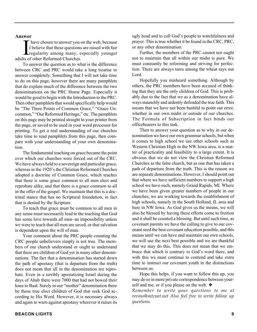#### **Answer**

Thawer<br>I believe that these questions<br>I believe that these questions<br>adults of other Reformed Churches. have chosen to answer you on the web, because I believe that these questions are raised with fair regularity among many, especially younger

To answer the question as to what is the difference between CRC and PRC would take a long treatise to answer completely. Something that I will not take time to do on this page, however there are many pamphlets that do explain much of the difference between the two denominations on the PRC Home Page. Especially it would be good to begin with the Introduction to the PRC. Then other pamphlets that would specifically help would be "The Three Points of Common Grace," "Grace Uncommon," "Our Reformed Heritage," etc. The pamphlets on this page may be printed straight to your printer from the page, or saved to be used in your word processor for printing. To get a real understanding of our churches take time to read pamphlets from this page, then compare with your understanding of your own denomination.

The fundamental teaching on grace became the point over which our churches were forced out of the CRC. We have always held to a sovereign and particular grace, whereas in the 1920's the Christian Reformed Churches adopted a doctrine of Common Grace, which teaches that there is some grace common to all men elect and reprobate alike, and that there is a grace common to all in the offer of the gospel. We maintain that this is a doctrinal stance that has no Scriptural foundation, in fact that is denied by the Scripture.

To teach that grace must be common to all men in any sense must necessarily lead to the teaching that God has some love towards all men–an impossibility unless we were to teach that all men are saved, or that salvation is dependent upon the will of man.

Your comment about the PRC people counting the CRC people unbelievers simply is not true. The members of our church understand or ought to understand that there are children of God yet in many other denominations. The fact that a denomination has started down the path of apostasy (that is departure from the truth) does not mean that all in the denomination are reprobate. Even in a terribly apostatizing Israel during the days of Ahab there were 7000 that had not bowed their knee to Baal. Surely in our "mother" denomination there be those true elect children of God that seek God according to His Word. However, it is necessary always and again to warn against apostasy wherever it raises its

ugly head and to call God's people to watchfulness and prayer. This is true whether it be found in the CRC, PRC, or any other denomination.

Further, the members of the PRC cannot nor ought not to maintain that all within our midst is pure. We must constantly be reforming and striving for perfection. There are always tares among the wheat says our Lord.

Hopefully you misheard something. Although by others, the PRC members have been accused of thinking that they are the only children of God. This is probably due to the fact that we as a denomination have always staunchly and ardently defended the true faith. This means that we have not been bashful to point out error, whether in our own midst or outside of our churches. The Formula of Subscription in fact binds our officebearers to this task.

Then to answer your question as to why in our denomination we have our own grammar schools, but when it comes to high school we use other schools such as Western Christian High in the NW Iowa area, is a matter of practicality and feasibility to a large extent. It is obvious that we do not view the Christian Reformed Churches as the false church, but as one that has taken a path of departure from the truth. This is the reason we are separate denominations. However, I should point out that where we have sufficient numbers to support a high school we have such, namely Grand Rapids, MI. Where we have been given greater numbers of people in our churches, we are working towards the establishment of high schools, namely in the South Holland, IL area and here in NW Iowa. As God gives us the means, we will also be blessed by having these efforts come to fruition and it shall be counted a blessing. But until such time, as covenant parents we have the calling to give to our covenant seed the best covenant education possible, and this means until we can have and maintain our own schools, we will use the next best possible and we are thankful that we may do this. This does not mean that we embrace that which is contrary to God's word there, and with this we must continue to contend and take extra time to instruct our covenant youth in the distinctions between us.

Hope this helps, if you want to follow this up, you may do so in more private correspondence between yourself and me, or if you please on the web. ❖

*Remember to write your questions to me at revmo@mtcnet.net Also feel free to write follow up questions.*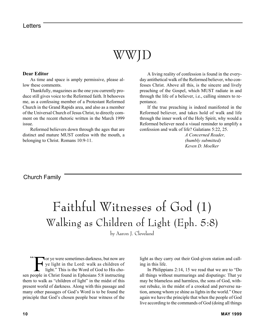## WWJD

#### **Dear Editor**

As time and space is amply permissive, please allow these comments.

Thankfully, magazines as the one you currently produce still gives voice to the Reformed faith. It behooves me, as a confessing member of a Protestant Reformed Church in the Grand Rapids area, and also as a member of the Universal Church of Jesus Christ, to directly comment on the recent rhetoric written in the March 1999 issue.

Reformed believers down through the ages that are distinct and mature MUST confess with the mouth, a belonging to Christ. Romans 10:9-11.

A living reality of confession is found in the everyday antithetical walk of the Reformed believer, who confesses Christ. Above all this, is the sincere and lively preaching of the Gospel, which MUST radiate in and through the life of a believer, i.e., calling sinners to repentance.

If the true preaching is indeed manifested in the Reformed believer, and takes hold of walk and life through the inner work of the Holy Spirit, why would a Reformed believer need a visual reminder to amplify a confession and walk of life? Galatians 5:22, 25.

> *A Concerned Reader, (humbly submitted) Keven D. Moelker*

### Church Family

# Faithful Witnesses of God (1) Walking as Children of Light (Eph. 5:8)

by Aaron J. Cleveland

 $\overline{\mathcal{L}}$ For ye were sometimes darkness, but now are<br>ye light in the Lord: walk as children of<br>light." This is the Word of God to His choye light in the Lord: walk as children of light." This is the Word of God to His chosen people in Christ found in Ephesians 5:8 instructing them to walk as "children of light" in the midst of this present world of darkness. Along with this passage and many other passages of God's Word is to be found the principle that God's chosen people bear witness of the

light as they carry out their God-given station and calling in this life.

In Philippians 2:14, 15 we read that we are to "Do all things without murmurings and disputings: That ye may be blameless and harmless, the sons of God, without rebuke, in the midst of a crooked and perverse nation, among whom ye shine as lights in the world." Once again we have the principle that when the people of God live according to the commands of God (doing all things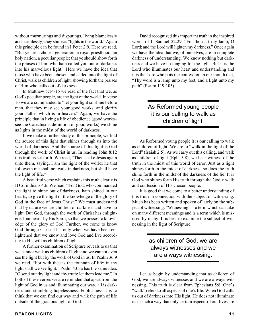without murmurings and disputings, living blamelessly and harmlessly) they shine as "lights in the world." Again this principle can be found in I Peter 2:9. Here we read, "But ye are a chosen generation, a royal priesthood, an holy nation, a peculiar people; that ye should show forth the praises of him who hath called you out of darkness into his marvellous light." Here we have the idea that those who have been chosen and called into the light of Christ, walk as children of light, showing forth the praises of Him who calls out of darkness.

In Matthew 5:14-16 we read of the fact that we, as God's peculiar people, are the light of the world. In verse 16 we are commanded to "let your light so shine before men, that they may see your good works, and glorify your Father which is in heaven." Again, we have the principle that in living a life of obedience (good works– see the Catechisms definition of good works) we shine as lights in the midst of the world of darkness.

If we make a further study of this principle, we find the source of this light that shines through us into the world of darkness. And the source of this light is God through the work of Christ in us. In reading John 8:12 this truth is set forth. We read, "Then spake Jesus again unto them, saying, I am the light of the world: he that followeth me shall not walk in darkness, but shall have the light of life."

A beautiful verse which explains this truth clearly is II Corinthians 4:6. We read, "For God, who commanded the light to shine out of darkness, hath shined in our hearts, to give the light of the knowledge of the glory of God in the face of Jesus Christ." We must understand that by nature we are children of darkness and have no light. But God, through the work of Christ has enlightened our hearts by His Spirit, so that we possess a knowledge of the glory of God. Further, we come to know God through Christ. It is only when we have been enlightened that we know and love God and live according to His will as children of light.

A further examination of Scripture reveals to us that we cannot walk as children of light and we cannot even see the light but by the work of God in us. In Psalm 36:9 we read, "For with thee is the fountain of life: in thy light shall we see light." Psalm 43:3a has the same idea. "O send out thy light and thy truth: let them lead me." In both of these verses we are reminded that apart from the light of God in us and illuminating our way, all is darkness and stumbling hopelessness. Foolishness it is to think that we can find our way and walk the path of life outside of the gracious light of God.

David recognized this important truth in the inspired words of II Samuel 22:29. "For thou art my lamp, O Lord; and the Lord will lighten my darkness." Once again we have the idea that we, of ourselves, are in complete darkness of understanding. We know nothing but darkness and we have no longing for the light. But it is the Lord who illuminates our heart and understanding and it is the Lord who puts the confession in our mouth that, "Thy word is a lamp unto my feet, and a light unto my path" (Psalm 119:105).

### As Reformed young people it is our calling to walk as children of light.

As Reformed young people it is our calling to walk as children of light. We are to "walk in the light of the Lord" (Isaiah 2:5). As we carry out this calling, and walk as children of light (Eph. 5:8), we bear witness of the truth in the midst of this world of error. Just as a light shines forth in the midst of darkness, so does the truth shine forth in the midst of the darkness of the lie. It is God who shines forth His truth through the Godly walk and confession of His chosen people.

It is good that we come to a better understanding of this truth in connection with the subject of witnessing. Much has been written and spoken of lately on the subject of witnessing. "Witnessing" is a term which can take on many different meanings and is a term which is misused by many. It is best to examine the subject of witnessing in the light of Scripture.

### as children of God, we are always witnesses and we are always witnessing.

Let us begin by understanding that as children of God, we are always witnesses and we are always witnessing. This truth is clear from Ephesians 5:8. One's "walk" refers to all aspects of one's life. When God calls us out of darkness into His light, He does not illuminate us in such a way that only certain aspects of our lives are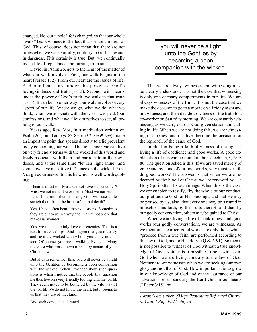changed. No, our whole life is changed, so that our whole "walk" bears witness to the fact that we are children of God. This, of course, does not mean that there are not times when we walk sinfully, contrary to God's law and in darkness. This certainly is true. But, we continually live a life of repentance and turning from sin.

David, in Psalm 26, gets to the heart of the matter of what our walk involves. First, our walk begins in the heart (verses 1, 2). From our heart are the issues of life. And our hearts are under the power of God's lovingkindness and truth (vs. 3). Second, with hearts under the power of God's truth, we walk in that truth (vs. 3). It can be no other way. Our walk involves every aspect of our life. Where we go, what we do, what we think, whom we associate with, the words we speak (our confession), and what we allow ourselves to see, all belong to our walk.

Years ago, Rev. Vos, in a meditation written on Psalm 26 (found on pgs. 83-89 of *O Taste & See*), made an important point that speaks directly to a lie prevalent today concerning our walk. The lie is this: One can live on very friendly terms with the wicked of this world and freely associate with them and participate in their evil deeds, and at the same time "let His light shine" and somehow have a positive influence on the wicked. Rev. Vos gives an answer to this lie which is well worth quoting:

I hear a question: Must we not love our enemies? Must we not try and save them? Must we not let our light shine unto them if haply God will use us to snatch them from the brink of eternal death?

Yes, I have often heard these questions. Sometimes they are put to us in a way and in an atmosphere that makes us wonder.

Yes, we must certainly love our enemies. That is a text from Jesus' lips. And I agree that you must try and save the wicked with whom you come in contact. Of course, you are a walking Evangel. Many there are who were drawn to God by means of your Christian walk.

But always remember this: you will never be a light unto the Gentiles by becoming a boon companion with the wicked. When I wonder about such questions is when I notice that the people that question me thus live on a very friendly footing with the world. They seem never to be bothered by the vile way of the world. We do not know the heart, but it seems to us that they are of that kind.

And such conduct is damned.

you will never be a light unto the Gentiles by becoming a boon companion with the wicked.

That we are always witnesses and witnessing must be clearly understood. It is not the case that witnessing is only one of many compartments in our life. We are always witnesses of the truth. It is not the case that we make the decision to go to a movie on a Friday night and not witness, and then decide to witness of the truth to a co-worker on Saturday morning. We are constantly witnessing as we carry out our God-given station and calling in life. When we are not doing this, we are witnessing of darkness and our lives become the occasion for the reproach of the cause of God.

Implicit in being a faithful witness of the light is living a life of obedience and good works. A good explanation of this can be found in the Catechism, Q & A 86. The question asked is this: If we are saved merely of grace and by none of our own works, why must we still do good works? The answer is that when we are redeemed by the blood of Christ, we are renewed by His Holy Spirit after His own image. When this is the case, we are enabled to testify, "by the whole of our conduct, our gratitude to God for His blessings, and that He may be praised by us; also, that every one may be assured in himself of his faith, by the fruits thereof; and that, by our godly conversation, others may be gained to Christ."

When we are living a life of thankfulness and good works (our godly conversation), we are witnesses. As we mentioned earlier, good works are only those which "proceed from a true faith, are performed according to the law of God, and to His glory"  $(Q & A 91)$ . So then it is not possible to witness of God without a true knowledge of God. Neither is it possible to be a witness of God when we are living contrary to the law of God. Neither are we witnesses when we are seeking our own glory and not that of God. How important it is to grow in our knowledge of God and of the assurance of our salvation. Let us sanctify the Lord God in our hearts (I Peter 3:15). ❖

*\_\_\_\_\_\_\_\_\_\_\_\_\_\_\_\_\_\_\_\_\_\_\_\_\_\_\_\_\_\_\_\_\_\_\_\_\_\_\_\_\_\_\_\_\_\_\_\_ Aaron is a member of Hope Protestant Reformed Church in Grand Rapids, Michigan.*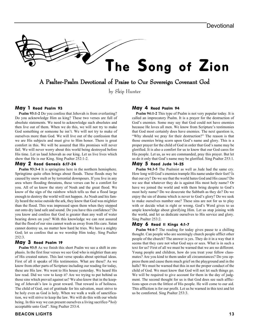# The Song of Zion

A Psalter-Psalm Devotional of Praise to Our Sovereign Covenant God

by Skip Hunter

#### May 1 Read Psalm 93

**Psalm 93:1-2** Do you confess that Jehovah is from everlasting? Do you acknowledge Him as king? These two verses are full of absolute statements. We need to acknowledge such absolutes and then live out of them. When we do this, we will not try to make God something or someone he isn't. We will not try to make of ourselves more than God. We will live out of the confession that we are His subjects and must give to Him honor. There is great comfort in this. We will be assured that His promises will never fail. We will never worry about this world being destroyed before His time. Let us laud Jehovah as our king. Let us live lives which show that He is our King. Sing Psalter 252:1-2.

#### May 2 Read Genesis 6:17-24

**Psalm 93:3-4** It is springtime here in the northern hemisphere. Springtime quite often brings about floods. These floods may be caused by snow melt or by torrential downpours. If you live in any area where flooding threatens, these verses can be a comfort for you. All of us know the story of Noah and the great flood. We know of the sign of the rainbow which tells us that a flood large enough to destroy the world will not happen. As Noah and his family heard the noise outside the ark, they knew that God was mightier than the flood. This was impressed upon them when they stepped out onto dry land safe and sound. Do you have this confidence? Do you know and confess that God is greater than any wall of water bearing down on you? With this knowledge we can rest assured that the flood of our sins cannot wash us away from His care. Satan cannot destroy us, no matter how hard he tries. We have a mighty God; let us confess that as we worship Him today. Sing Psalter 252:3.

#### May 3 Read Psalm 19

**Psalm 93:5** As we finish this short Psalm we see a shift in emphasis. In the first four verses we see God who is mightier than any of His created nature. This last verse speaks about spiritual ideas. First of all it speaks of His testimonies. What are these? As we know from other parts of Scripture including our reading for today, these are His law. We went to His house yesterday. We heard His law read. Did we vow to keep it? Are we trying to put behind us those sins which prevail against us? We also know that in the keeping of Jehovah's law is great reward. That reward is of holiness. The child of God, out of gratitude for his salvation, must strive to be holy even as God is holy. When we walk a walk of sanctification, we will strive to keep the law. We will do this with our whole being. In this way we can present ourselves a living sacrifice-**"***holy* acceptable unto God". Sing Psalter 253:4.

#### **BEACON LIGHTS 13**

#### May 4 Read Psalm 94

**Psalm 94:1-2** This type of Psalm is not very popular today. It is called an imprecatory Psalm. It is a prayer for the destruction of God's enemies. Some may say that God could not have enemies because He loves all men. We know from Scripture's testimonies that God most certainly does have enemies. The next question is, "Why should we pray for their destruction?" The reason is that those enemies bring scorn upon God's name and glory. This is a proper prayer for the child of God in order that God's name may be glorified. It is also a comfort for us to know that our God cares for His people. Let us, as we are commanded, pray this prayer. But let us do it only that God's name may be glorified. Sing Psalter 253:1.

#### May 5 Read Jude 14-25

**Psalm 94:3-5** The Psalmist as well as Jude had the same cry. How long will God's enemies trample His name under their feet? Is that our cry? Do we see that the world hates God and His cause? Do we see that whatever they do is against His most holy name? Or have we joined the world and with them bring despite to God's most holy name? Do we desecrate the Sabbath as they do? Do we enjoy the sin of drama which is never to God's glory? Do we seek to make ourselves number one? These sins are not for us to play with or decide what is right or wrong. God's Word gives to us ample knowledge about glorifying Him. Let us stop joining with the world, and let us dedicate ourselves to His service and glory. Sing Psalter 253:2.

#### May 6 Read II Kings 4:1-7

**Psalm 94:6-7** The reading for today gives pause to a chilling thought. Can people who are seemingly church people afflict other people of the church? The answer is yes. They do it in a way that it seems that they care not what God says or sees. What is in such a text for us? First of all we must be warned that we are no different. Young people and children, how do you treat your fellow classmates? Are you kind to them under all circumstances? Do you oppress them and cause them much grief on the playground and in the halls? We must be warned that this in not the proper conduct of the child of God. We must know that God will not let such things go. We will be required to give account for them in the day of judgment. The second thought for us is that God does see such afflictions upon even the littlest of His people. He will come to our aid. This affliction is for our profit. Let us be warned in this text and let us be comforted. Sing Psalter 253:3.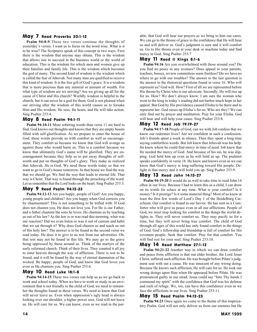#### May 7 Read Proverbs 20:1-12

**Psalm 94:8-9** These two verses continue the thoughts of yesterday's verses. I want us to focus on the word wise. What is it to be wise? The Scriptures speak of this concept in two ways. First there is the wisdom that anyone may obtain. This is the wisdom that allows one to succeed in the business world or the world of education. This is the wisdom for which men and women give up their families and family life. This is the wisdom which becomes the god of many. The second kind of wisdom is the wisdom which is called the fear of Jehovah. Not many men are qualified to receive this kind of wisdom. It is the free gift of God's grace. It is a wisdom that is more precious than any mineral or amount of wealth. For what type of wisdom are we striving? Are we giving up all for the cause of Christ and His church? Worldly wisdom is helpful to the church, but it can never be a god for them. God is not pleased when our striving after the wisdom of this world causes us to forsake Him and His wisdom. He sees, He hears, and He will take action. Sing Psalter 253:4.

#### May 8 Read Psalm 94:1-11

**Psalm 94:10-11** More sobering words than verse 11 are hard to find. God knows our thoughts and knows that they are empty boasts filled with self-glorification. As we prepare to enter the house of God, these words provide us with comfort as well as encouragement. They comfort us because we know that God will avenge us against those who would harm us. This is a comfort because we know that ultimately God's name will be glorified. They are encouragement because they help us to put away thoughts of selfworth and put on thoughts of God's glory. They make us realized that Jehovah, He is God. We need these words today so that we want to go to God's house tomorrow. In that house we find the way that we should go. We find the way that leads to eternal life. That way is Christ. That way is found through the preaching of the word. Let us remember that the Lord looks on the heart. Sing Psalter 253:5.

#### May 9 Read Psalm 94:12-23

**Psalm 94:12-13** Are you happy, people of God? Are you happy, young people and children? Are you happy when God corrects you by chastisement? This is not something to be trifled with. If God does not chasten you, He does not love you. For He is our Father, and a father chastens the sons he loves. He chastens us by teaching us out of his law? As the law is or was read this morning, what was our reaction? Did we even listen or was it out of custom and habit that we sat through it? Why does God chasten us and teach us out of His holy law? The answer is to be found in the second verse we read today. He does it to give to us rest from our adversities. Oh, that rest may not be found in this life. We may go to the grave being oppressed by those around us. Think of the martyrs of the early reformed church. Think of their lives. They counted it all joy to enter heaven through the way of affliction. There is rest to be found, and it will be found by the way of eternal damnation of the wicked. Be happy, people of God, and know that God loves you even as He chastens you. Sing Psalter 253:6.

#### May 10 Read Luke 18:1-8

**Psalm 94:14-15** These two verses can help us as we go back to work and school today. When we have to work or study in an environment that is not friendly to the child of God, we need to remember the thoughts found in these verses. We need to know that God will never leave us. Even when oppression's ugly head is always looking over our shoulder, a higher power sees. God will not leave us. He will care for us. We can know, even as we read in the parable, that God will hear our prayers as we bring to him our cares. We can go to the throne of grace in the confidence that He will hear us and will deliver us. God's judgment is sure and it will comfort us. Go to His throne even at your desk or machine today and find mercy in God. Sing Psalter 253:7

#### May 11 Read II Kings 8:1-6

**Psalm 94:16** Are you overwhelmed with those around you? Do you find no peace in any avenues? Does appeal to your parents, teachers, bosses, review committees seem fruitless? Do we have no where to go with our troubles? The answer to the last question is the answer to the rhetorical questions found in verse 16. Who will represent us? God will. How? First of all we are represented before His throne by Christ who is our advocate. Secondly, He will rise up for us. How? We don't always know. I am sure the woman who went to the king in today's reading did not harbor much hope in her appeal. But God by His providence caused Elisha to be there and to represent her. God raises up Elisha's for us. Who are they? We can only find out by prayer and meditation. Pray for your Elisha. God will hear and will help your cause. Sing Psalter 253:8.

#### May 12 Read Job 19:19-27

**Psalm 94:17-18** People of God, can we with Job confess that we know our redeemer lives? Are we confident in such a confession. Job's friends spent a week in silence. Then they spent a long time saying comfortless words. But Job knew that Jehovah was his help. He knew where he could find mercy in time of need. Job knew that He needed the mercy of God. And because of his sin, he was slipping. God held him up even as he will hold us up. The psalmist speaks confidently in verse 18. He knew and knows even as we can know that God's mercy is long-suffering toward His people. Delight in that mercy and it will hold you up. Sing Psalter 253:9.

#### May 13 Read John 14:15-27

**Psalm 94:19-20** It would do us well to take time to read John 14 often in our lives. Because I had to learn this as a child, I can draw on its words for solace at any time. What is your comfort? Is it money? Is it prestige? Is it some material thing? Most of us know at least the first few words of Lord's Day 1 of the Heidelburg Catechism. Our comfort is found in our Savior. He has sent us a Comforter who will give us peace even in all our afflictions. People of God, we must stop looking for comfort in the things the world delights in. They will never comfort us. They may pacify us for a time, but they will never bring true comfort. The child of God through all ages of this world has only found comfort in the things of God. God's fellowship and friendship is full of comfort for His covenant people. Seek that comfort. Pray for that comfort. You will find rest for your soul. Sing Psalter 253:10.

#### May 14 Read Matthew 27:1-12

**Psalm 94:21-22** Another way in which we can draw comfort and peace from affliction is that our elder brother, the Lord Jesus Christ, suffered such affliction. He was brought before Pilate's judgment seat with out a cause. He was innocent of any wrong doing. Because He knows such affliction, He will care for us. He took our wrong doings upon Him when He appeared before Pilate. He was pronounced guilty in our stead. Jesus could say "Into Thy hands I commend my spirit" with the confidence that God was his defense and rock of refuge. We, too, can have this confidence even as we face the afflictions in our lives. Sing Psalter 253:11.

#### May 15 Read Psalm 94:12-23

**Psalm 94:23** Once again we come to the theme of this imprecatory Psalm. God will not only deliver us from our enemies but He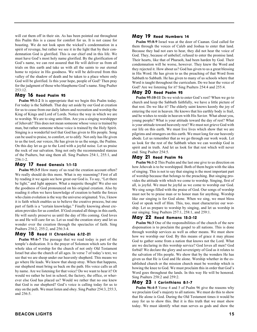will cut them off in their sin. As has been pointed out throughout this Psalm this is a cause for comfort for us. It is not cause for boasting. We do not look upon the wicked's condemnation in a spirit of revenge, but rather we see it in the light that by their condemnation God is glorified. This is our chief end in this life. We must have God's most holy name glorified. By the glorification of God's name, we can rest assured that He will deliver us from all trials on this earth and take us with all the saints to our eternal home to rejoice in His goodness. We will be delivered from this valley of the shadow of death and be taken to a place where only God will be glorified. Is this your hope, people of God? Then pray for the judgment of those who blaspheme God's name. Sing Psalter 253:12.

#### May 16 Read Psalm 95

**Psalm 95:1-2** It is appropriate that we begin this Psalm today. For today is the Sabbath. That day set aside by our God at creation for us to cease from our daily labors and recreation and worship the King of Kings and Lord of Lords. Notice the way in which we are to worship. We are to sing unto Him. Are you a singing worshipper of Jehovah? This does not mean someone whose voice is trained by man, but rather someone whose voice is trained by the Holy Spirit. Singing is a wonderful tool that God has given to His people. Song can be used to praise, to comfort, or to edify. Not only has He given to us the tool, our voices, He has given to us the songs, the Psalms. On this day let us go to the Lord with a joyful noise. Let us praise the rock of our salvation. Sing not only the recommended stanzas of the Psalters, but sing them all. Sing Psalters 254:1, 255:1, and 256:1-2.

#### May 17 Read Genesis 1:1-13

**Psalm 95:3-5** How many of us read the creation account often? We really should do this more. What is my reasoning? First of all by reading it we again see how great our God is. To say, "Let there be light," and light appears. What a majestic thought! We also see the goodness of God pronounced on his original creation. Also by reading it often we have knowledge of creation to battle the forces who claim evolution is the way the universe originated. Yes, I know it is faith which enables us to believe the creative process, but one part of faith is a "certain knowledge." Finally knowing about creation provides for us comfort. If God created all things in this earth, He will surely preserve us until the day of His coming. God loves us and He will care for us. Let us read the creation story and let us wonder over the creation through the spectacles of faith. Sing Psalters 254:2, 255:2, and 256:3-4.

#### May 18 Read II Chronicles 6:12-21

**Psalm 95:6-7** The passage that we read today is part of the temple's dedication. It is the prayer of Solomon which sets for the whole idea of worship for the church of not only Old Testament Israel but also the church of all ages. In verse 7 of today's text, we see that we are sheep under our heavenly shepherd. This means we go where He leads. We know that sheep stray. When that happens, our shepherd must bring us back on the path. His voice calls us all by name. Are we listening for that voice? Do we want to hear it? Or would we rather be lost in school, the factory, the office, or wherever else God has placed us? Would we rather that no one knew that God is our shepherd? God's voice is calling today for us to stay on the path. We must listen and obey. Sing Psalter 254:3, 255:3, and 256:5.

#### May 19 Read Numbers 14

**Psalm 95:8-9** Israel was at the door of Caanan. God called for them through the voices of Caleb and Joshua to enter that land. Because they had not ears to hear, they did not hear the voice of God. They, because of unbelief, refused to enter the promise land. Their hearts, like that of Pharaoh, had been harden by God. Their condemnation will be worse, however. They knew the Word and they rejected it. How about us? God has given to us a great blessing in His Word. He has given to us the preaching of that Word from Sabbath to Sabbath. He has given to many of us schools where that Word is taught throughout the curriculum. Do we hear the voice of God? Are we listening for it? Sing Psalters 254:4 and 255:4.

#### May 20 Read Psalm 95

**Psalm 95:10-11** Do we wish to enter God's rest? When we go to church and keep the Sabbath faithfully, we have a little picture of that rest. Do we like it? The elderly saint knows keenly the joy of entering the rest in heaven. He knows that his earthly body is frail, and he wishes to reside in heaven with His Savior. What about you, young people? What is your attitude toward the day of rest? What is your attitude toward heavenly rest? We must not grieve God with our life on this earth. We must live lives which show that we are pilgrims and strangers on this earth. We must long for our heavenly abode. Let us remember that as we go through our work week. Let us look for the rest of the Sabbath when we can worship God in spirit and in truth. And let us look for that rest which will never end. Sing Psalter 254:5.

#### May 21 Read Psalm 96

**Psalm 96:1-2** This Psalm and the last one give to us direction on how Jehovah is to be worshipped. Both of them begin with the idea of singing. This is not to say that singing is the most important part of worship because that belongs to the preaching. But singing provides the attitude with which we come to worship. Singing, first of all, is joyful. We must be joyful as we come to worship our God. We sing songs filled with the praise of God. Our songs of worship must not be to praise man or to honor man for anything. Worship like our singing is for God alone. When we sing, we must bless God or speak well of Him. This, too, must characterize our worship. Let us prepare to worship by singing, and let us worship in our singing. Sing Psalters 257:1, 258:1, and 259:1.

#### May 22 Read Romans 15:3-12

**Psalm 96:3** One of the responsibilities of the church of the new dispensation is to proclaim the gospel to all nations. This is done through worship services as well as other means. We must show how we worship our God. By this means of grace it may please God to gather some from a nation that knows not the Lord. What are we declaring in this worship service? God loves all men? God forbid! We declare the glory and sovereignty of God as it relates to the salvation of His people. We show that by the wonders He has given us that He is God and He alone. Worship whether in the established church or the mission church must be worship which is bowing the knee to God. We must proclaim this in order that God's Word goes throughout the lands. In this way He will be honored. Sing Psalters 258:2 and 259:2.

#### May 23 I Corinthians 8:1-7

**Psalm 96:4-5** Verse 4 and 5 of Psalm 96 give the reasons why we proclaim God's majesty to all nations. We must do this to show that He alone is God. During the Old Testament times it would be easy for us to show this. But it is this truth that we must show today. We must identify what man serves as gods and show the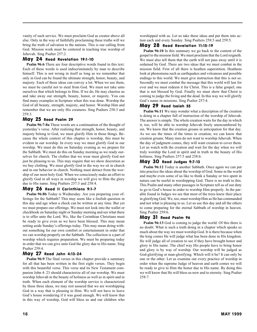vanity of such service. We must proclaim God as creator above all else. Only in the way of faithfully proclaiming these truths will we bring the truth of salvation to the nations. This is our calling from God. Mission work must be centered in teaching true worship of Jehovah. Sing Psalter 257:2.

#### May 24 Read Revelation 19:1-10

**Psalm 96:6** There are four descriptive words found in this text. Each of these words is used indiscriminately by man to describe himself. This is not wrong in itself as long as we remember that only in God can be found the ultimate strength, honor, beauty, and majesty. Each of these ideas can convey a lot. When we use them, we must be careful not to steal from God. We must not take unto ourselves that which belongs to Him. If we do, He may chastise us and take away our strength, beauty, honor, or majesty. You can find many examples in Scripture when this was done. Worship the God of all beauty, strength, majesty, and honor. Worship Him and remember that we are only His creatures. Sing Psalters 258:3 and 259:3.

#### May 25 Read Psalm 29

**Psalm 96:7-8a** These words are a continuation of the thought of yesterday's verse. After realizing that strength, honor, beauty, and majesty belong to God, we must glorify Him in those things. Because the whole context of this chapter is worship, this must be evident in our worship. In every way we must glorify God in our worship. We must do this on Saturday evening as we prepare for the Sabbath. We must do this on Sunday morning as we ready ourselves for church. The clothes that we wear must glorify God not just be pleasing to us. This may require that we show discretion as we buy clothing. We must glorify God in the way we sit in church and in our behavior in church. Nothing must detract from the worship of our most holy God. When we consciously make an effort to glorify God in all ways in worship we will give to Him the glory due to His name. Sing Psalters 257:3 and 258:4.

#### May 26 Read II Corinthians 9:1-7

**Psalm 96:8b** Today is Wednesday. Are you preparing your offerings for the Sabbath? This may seem like a foolish question in this day and age when a check can be written at any time. But yet we must prepare our offerings. We must not look into the wallet or checkbook on Saturday night or Sunday morning and see what there is to offer unto the Lord. We, like the Corinthian Christians must be ready to give even as we have been blessed. This may mean setting aside Sunday's offerings today. This may mean doing without something for our own comfort or entertainment in order that we can worship properly on the Sabbath. The collection is a part of worship which requires preparation. We must be preparing today in order that we can give unto God the glory due to His name. Sing Psalter 259:4.

#### May 27 Read John 4:13-24

**Psalm 96:9** The final verses in this chapter provide a summary for all that has been written in the first eight verses. They begin with this beautiful verse. This verse and its New Testament companion John 4: 23 should characterize all of our worship. We must worship Jehovah in the beauty of holiness as well as in spirit and in truth. When each element of the worship service is characterized by these three ideas, we may rest assured that we are worshipping God in a way that is pleasing to Him. We will not have to leave God's house wondering if it was good enough. We will know that in this way of worship, God will bless us and our children who worshipped with us. Let us take these ideas and put them into action each and every Sunday. Sing Psalters 258:5 and 259:5.

#### May 28 Read Revelation 11:15-19

**Psalm 96:10** In this summary we go back to the content of the gospel to the mission field. We must proclaim that the Lord reigneth. We must also tell them that the earth will not pass away until it is ordained by God. There are two ideas that we must combat in the mission field. First of all there is heathen superstition. Heathens look at phenomena such as earthquakes and volcanoes and possible endings to this world. We must give instruction that this is not so. Secondly we must combat the message that this world will last for ever and we must redeem it for Christ. This is a false gospel; one that is not blessed by God. Finally we must show that Christ is coming to judge the living and the dead. In this way we will glorify God's name in missions. Sing Psalter 257:4.

#### May 29 Read Isaiah 55

**Psalm 96:11** We may wonder what a description of the creation is doing in a chapter full of instruction of the worship of Jehovah. The answer is simple. The whole creation waits for the day in which it, too, will be able to worship Jehovah freely unencumbered by sin. We know that the creation groans in anticipation for that day. As we see the times of the times in creation, we can know that creation groans. Many men do not want to worship Jehovah. When the day of judgment comes, they will want creation to cover them. Let us watch with the creation and wait for the day when we will truly worship the Lord in spirit and in truth in the beauty of His holiness. Sing Psalters 257:5 and 258:6.

#### May 30 Read Judges 9:7-13

**Psalm 96:12** Today is another Sabbath. Once again we can put into practice the ideas about the worship of God. Some in the world and maybe even some of us like to think a Sunday or two spent in nature can be useful in worshipping God. There is no truth to this. This Psalm and many other passages in Scripture tell us of our duty to go to God's house in order to worship Him properly. In the parable found in Judges we see that most of the trees knew their place in glorifying God. We, too, must worship Him as He has commanded and not what is pleasing to us. Let us use this day and all the others to come preparing for the eternal Sabbath of worship in heaven. Sing Psalter 259:6.

#### May 31 Read Psalm 96

**Psalm 96:13** God is coming to judge the world. Of this there is no doubt. What is such a truth doing in a chapter which speaks so much about the way we must worship God. It is there because when the king comes He will judge what has been done in His kingdom. He will judge all of creation to see if they have brought honor and glory to His name. The chief way His people have to bring honor and glory is by way of worship. Our worship will be judged as God-glorifying or man-glorifying. Which will it be? It can only be one or the other. Let us examine our every practice of worship in order when the supreme Judge of heaven and earth comes we will be ready to give to Him the honor due to His name. By doing this we will know that He will bless us now and to eternity. Sing Psalter  $258.7$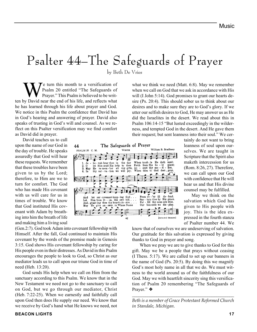# Psalter 44–The Safeguards of Prayer

by Beth De Vries

We turn this month to a versification of<br>Prayer." This Psalm is believed to be writ-<br>Not pay the end of his life, and reflects what Psalm 20 entitled "The Safeguards of Prayer." This Psalm is believed to be written by David near the end of his life, and reflects what he has learned through his life about prayer and God. We notice in this Psalm the confidence that David has in God's hearing and answering of prayer. David also speaks of trusting in God's will and counsel. As we reflect on this Psalter versification may we find comfort as David did in prayer.

David teaches us to call upon the name of our God in the day of trouble. He speaks assuredly that God will hear these requests. We remember that these troubles have been given to us by the Lord; therefore, to Him are we to turn for comfort. The God who has made His covenant with us will care for us in times of trouble. We know that God instituted His covenant with Adam by breathing into him the breath of life and making him a living soul

The Safeguards of Prayer 44 William B. Bradbory Wiscut PSALM 20 C. M. troab - le<br>from His He<br>bo doth isend: vah hear ĩn the day Ъa  $\frac{1}{2}$ :<br> $\frac{3}{4}$ : Forth from His bo - ly place;<br>Ac - cept thy sac - ri - Bee,<br>When thou to God dost , pray, place;<br>fice, let Him send His help<br>He re-mem-ber all<br>thy aal - va - tion we to thee<br>thy gifts<br>will joy;  $\frac{0}{M}$ ay gifts, Īв joy; Prom ov 'ry ill our covenant-keep-ing God. Ånd<br>Let let Him from  $Z_i$  - on, His even hill, .<br>grant-ing thee thy hearts de-sire, .<br>He give an-swer, in Whese Name Sus - tain thee by His grape. Fol - fill thy conn-sels wise.<br>Our ban-ners we dis-play. And<br>May

sire (Ps. 20:4). This should sober us to think about our desires and to make sure they are to God's glory. If we utter our selfish desires to God, He may answer us as He did the Israelites in the desert. We read about this in Psalm 106:14-15 "But lusted exceedingly in the wilderness, and tempted God in the desert. And He gave them their request; but sent leanness into their soul." We certainly do not want to bring

what we think we need (Matt. 6:8). May we remember when we call on God that we ask in accordance with His will (I John 5:14). God promises to grant our hearts de-

> leanness of soul upon ourselves. We are taught in Scripture that the Spirit also maketh intercession for us (Rom. 8:26, 27). Therefore, we can call upon our God with confidence that He will hear us and that His divine counsel may be fulfilled.

> May we think on the salvation which God has given to His people with joy. This is the idea expressed in the fourth stanza of Psalter number 44. We

(Gen.2:7). God took Adam into covenant fellowship with Himself. After the fall, God continued to maintain His covenant by the words of the promise made in Genesis 3:15. God shows His covenant fellowship by caring for His people even in their distresses. As David in this Psalm encourages the people to look to God, so Christ as our mediator leads us to call upon our triune God in time of need (Heb. 13:20).

God sends His help when we call on Him from the sanctuary according to this Psalm. We know that in the New Testament we need not go to the sanctuary to call on God, but we go through our mediator, Christ (Heb. 7:22-25). When we earnestly and faithfully call upon God then does He supply our need. We know that we receive by God's hand what He knows we need, not know that of ourselves we are undeserving of salvation. Our gratitude for this salvation is expressed by giving thanks to God in prayer and song.

When we pray we are to give thanks to God for this gift. May we be a people that prays without ceasing (I Thess. 5:17). We are called to set up our banners in the name of God (Ps. 20:5). By doing this we magnify God's most holy name in all that we do. We must witness to the world around us of the faithfulness of our God. May we with heartfelt sincerity sing this versification of Psalm 20 remembering "The Safeguards of Prayer." ❖

*\_\_\_\_\_\_\_\_\_\_\_\_\_\_\_\_\_\_\_\_\_\_\_\_\_\_\_\_\_\_\_\_\_\_\_\_\_\_\_\_\_\_\_\_\_\_ Beth is a member of Grace Protestant Reformed Church in Standale, Michigan.*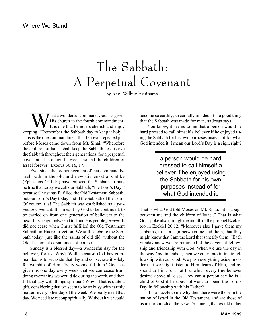# The Sabbath: A Perpetual Covenant

by Rev. Wilbur Bruinsma

What a wonderful command God has given<br>It is one that believers cherish and enjoy<br>Not the Sabbath day to keep it bely." His church in the fourth commandment! It is one that believers cherish and enjoy keeping! "Remember the Sabbath day to keep it holy." This is the one commandment that Jehovah repeated just before Moses came down from Mt. Sinai. "Wherefore the children of Israel shall keep the Sabbath, to observe the Sabbath throughout their generations, for a perpetual covenant. It is a sign between me and the children of Israel forever" Exodus 30:16, 17.

Ever since the pronouncement of that command Israel both in the old and new dispensations alike (Ephesians 2:11-19) have enjoyed the Sabbath. It may be true that today we call our Sabbath, "the Lord's Day," because Christ has fulfilled the Old Testament Sabbath, but our Lord's Day today is still the Sabbath of the Lord. Of course it is! The Sabbath was established as a *perpetual* covenant. It is meant by God to be continued, to be carried on from one generation of believers to the next. It is a sign between God and His people *forever*. It did not cease when Christ fulfilled the Old Testament Sabbath in His resurrection. We still celebrate the Sabbath today, just like the saints of old did, without the Old Testament ceremonies, of course.

Sunday is a blessed day—a wonderful day for the believer, for us. Why? Well, because God has commanded us to set aside that day and consecrate it solely for worship of Him. Pretty wonderful, huh? God has given us one day every week that we can cease from doing everything we would do during the week, and then fill that day with things spiritual! Wow! That is quite a gift, considering that we seem to be so busy with earthly matters every other day of the week. We really need that day. We need it to recoup spiritually. Without it we would

become so earthly, so carnally minded. It is a good thing that the Sabbath was made for man, as Jesus says.

You know, it seems to me that a person would be hard pressed to call himself a believer if he enjoyed using the Sabbath for his own purposes instead of for what God intended it. I mean our Lord's Day is a sign, right?

> a person would be hard pressed to call himself a believer if he enjoyed using the Sabbath for his own purposes instead of for what God intended it.

That is what God told Moses on Mt. Sinai: "it is a sign between me and the children of Israel." That is what God spoke also through the mouth of the prophet Ezekiel too in Ezekiel 20:12, "Moreover also I gave them my sabbaths, to be a sign between me and them, that they might know that I am the Lord that sanctify them." Each Sunday anew we are reminded of the covenant fellowship and friendship with God. When we use the day in the way God intends it, then we enter into intimate fellowship with our God. We push everything aside in order that we might listen to Him, learn of Him, and respond to Him. Is it not that which every true believer desires above all else? How can a person say he is a child of God if he does not want to spend the Lord's Day in fellowship with his Father?

It is a puzzle to me why then there were those in the nation of Israel in the Old Testament, and are those of us in the church of the New Testament, that would rather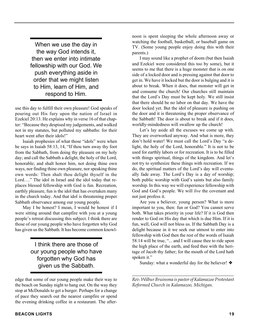When we use the day in the way God intends it, then we enter into intimate fellowship with our God. We push everything aside in order that we might listen to Him, learn of Him, and respond to Him.

use this day to fulfill their own pleasure! God speaks of pouring out His fury upon the nation of Israel in Ezekiel 20:13. He explains why in verse 16 of that chapter: "Because they despised my judgements, and walked not in my statutes, but polluted my sabbaths: for their heart went after their idols!"

Isaiah prophesies of what those "idols" were when he says in Isaiah 58:13, 14, "If thou turn away thy foot from the Sabbath, from doing thy pleasure on my holy day; and call the Sabbath a delight, the holy of the Lord, honorable; and shalt honor him, not doing thine own ways, nor finding thine own pleasure, nor speaking thine own words: Then shalt thou delight thyself in the Lord…." The idol in Israel and the idol today that replaces blessed fellowship with God is fun. Recreation, earthly pleasure, fun is the idol that has overtaken many in the church today. And that idol is threatening proper Sabbath observance among our young people.

May I be honest? I mean, I would be honest if I were sitting around that campfire with you at a young people's retreat discussing this subject. I think there are those of our young people who have forgotten why God has given us the Sabbath. It has become common knowl-

> I think there are those of our young people who have forgotten why God has given us the Sabbath.

edge that some of our young people make their way to the beach on Sunday night to hang out. On the way they stop at McDonalds to get a burger. Perhaps for a change of pace they search out the nearest campfire or spend the evening drinking coffee in a restaurant. The afternoon is spent sleeping the whole afternoon away or watching the football, basketball, or baseball game on TV. (Some young people enjoy doing this with their parents.)

I may sound like a prophet of doom (but then Isaiah and Ezekiel were considered this too by some), but it seems to me that there is a huge monster that is on one side of a locked door and is pressing against that door to get in. We have it locked but the door is bulging and it is about to break. When it does, that monster will get in and consume the church! Our churches still maintain that the Lord's Day must be kept holy. We still insist that there should be no labor on that day. We have the door locked yet. But the idol of pleasure is pushing on the door and it is threatening the proper observance of the Sabbath! The door is about to break and if it does, worldly-mindedness will swallow up the church!

Let's lay aside all the excuses we come up with. They are overworked anyway. And what is more, they don't hold water! We must call the Lord's Day "a delight, the holy of the Lord, honorable." It is not to be used for earthly labors or for recreation. It is to be filled with things spiritual, things of the kingdom. And let's not try to synthesize these things with recreation. If we do, the spiritual matters of the Lord's day will eventually fade away. The Lord's Day is a day of worship; both public worship with God's saints but also family worship. In this way we will experience fellowship with God and God's people. We will *live* the covenant and not just profess it.

Are you a believer, young person? What is more important to you, then: fun or God? You cannot serve both. What takes priority in your life? If it is God then render to God on His day that which is due Him. If it is fun, well, God will not bless us. If the Sabbath Day is a delight because in it we seek our utmost to enter into fellowship with God then the rest of the words of Isaiah 58:14 will be true, "... and I will cause thee to ride upon the high place of the earth, and feed thee with the heritage of Jacob thy father; for the mouth of the Lord hath spoken it."

Sunday: what a wonderful day for the believer! ❖

*\_\_\_\_\_\_\_\_\_\_\_\_\_\_\_\_\_\_\_\_\_\_\_\_\_\_\_\_\_\_\_\_\_\_\_\_\_\_\_\_\_\_\_\_\_\_\_ Rev. Wilbur Bruinsma is pastor of Kalamazoo Protestant Reformed Church in Kalamazoo, Michigan.*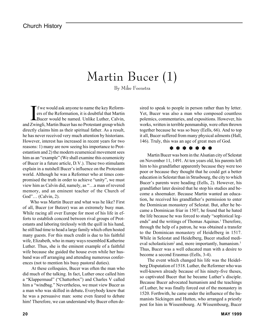## Martin Bucer (1)

By Mike Feenstra

If we would ask anyone to name the key Reform-<br>ers of the Reformation, it is doubtful that Martin<br>Bucer would be named. Unlike Luther, Calvin,<br>Zwingli, Martin Bucer has no Brotestant group which f we would ask anyone to name the key Reformers of the Reformation, it is doubtful that Martin and Zwingli, Martin Bucer has no Protestant group which directly claims him as their spiritual father. As a result, he has never received very much attention by historians. However, interest has increased in recent years for two reasons: 1) many are now seeing his importance to Protestantism and 2) the modern ecumenical movement sees him as an "example" (We shall examine this ecumenicity of Bucer in a future article, D.V.). These two stimulants explain in a nutshell Bucer's influence on the Protestant world. Although he was a Reformer who at times compromised the truth in order to achieve "unity", we must view him as Calvin did, namely, as "…a man of revered memory, and an eminent teacher of the Church of God"… (Calvin, 2).

Who was Martin Bucer and what was he like? First of all, Bucer (or Butzer) was an extremely busy man. While racing all over Europe for most of his life in efforts to establish concord between rival groups of Protestants and laboring tirelessly with the quill in his hand, he still had time to head a large family which often hosted many guests. For this much credit is due to his faithful wife, Elizabeth, who in many ways resembled Katherine Luther. Thus, she is the eminent example of a faithful wife because she guided the house even while her husband was off arranging and attending numerous conferences (not to mention his busy pastoral duties).

 At these colloquies, Bucer was often the man who did much of the talking. In fact, Luther once called him a "Klappermaul" ("Chatterbox") and Charles V called him a "windbag." Nevertheless, we must view Bucer as a man who was skilled in debate**.** Everybody knew that he was a persuasive man: some even feared to debate him! Therefore, we can understand why Bucer often desired to speak to people in person rather than by letter. Yet, Bucer was also a man who composed countless polemics, commentaries, and expositions. However, his works, written in terrible penmanship, were often thrown together because he was so busy (Eells, 66). And to top it all, Bucer suffered from many physical ailments (Hall, 146). Truly, this was an age of great men of God.

#### ❇ ❇ ❇ ❇ ❇ ❇ ❇

Martin Bucer was born in the Alsatian city of Selestat on November 11, 1491. At ten years old, his parents left him to his grandfather apparently because they were too poor or because they thought that he could get a better education in Selestat than in Strasbourg, the city to which Bucer's parents were heading (Eells, 2). However, his grandfather later desired that he stop his studies and become a shoemaker. Because Martin wanted an education, he received his grandfather's permission to enter the Dominican monastery of Selestat. But, after he became a Dominican friar in 1507, he found that he hated the life because he was forced to study "sophistical legends" and the writings of Thomas Aquinas.<sup>1</sup> Therefore, through the help of a patron, he was obtained a transfer to the Dominican monastery of Heidelberg in 1517. While in Selestat and Heidelberg, Bucer studied medieval scholasticism<sup>2</sup> and, more importantly, humanism.<sup>3</sup> Thus, Bucer was a well educated man with a desire to become a second Erasmus (Eells, 3-4).

The event which changed his life was the Heidelberg Disputation of 1518. Luther, the Reformer who was well-known already because of his ninety-five theses, so captivated Bucer that he became Luther's disciple. Because Bucer advocated humanism and the teachings of Luther, he was finally forced out of the monastery in 1520. Forthwith, he came under the influence of the humanists Sickingen and Hutten, who arranged a priestly post for him in Wissembourg. At Wissembourg, Bucer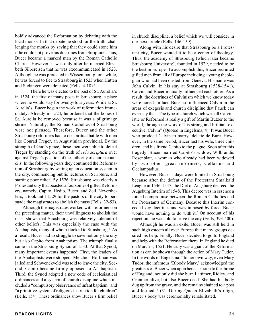boldly advanced the Reformation by debating with the local monks. In that debate he stood for the truth, challenging the monks by saying that they could stone him if he could not prove his doctrines from Scripture. Thus, Bucer became a marked man by the Roman Catholic Church. However, it was only after he married Elizabeth Silbereisen that he was excommunicated in 1523. Although he was protected in Wissembourg for a while, he was forced to flee to Strasbourg in 1523 when Hutten and Sickingen were defeated (Eells, 4-18).4

There he was elected to the post of St. Aurelia's in 1524, the first of many posts in Strasbourg, a place where he would stay for twenty-four years. While at St. Aurelia's, Bucer began the work of reformation immediately. Already in 1524, he ordered that the bones of St. Aurelia be removed because it was a pilgrimage shrine. Naturally, the Roman Catholics of Strasbourg were not pleased. Therefore, Bucer and the other Strasbourg reformers had to do spiritual battle with men like Conrad Treger, an Augustinian provincial. By the strength of God's grace, these men were able to defeat Treger by standing on the truth of *sola scriptura* over against Treger's position of the authority of church councils. In the following years they continued the Reformation of Strasbourg by setting up an education system in the city, commencing public lectures on Scripture, and starting poor relief. By 1526, Strasbourg was clearly a Protestant city that boasted a foursome of gifted Reformers, namely, Capito, Hedio, Bucer, and Zell. Nevertheless, it took until 1529 for the pastors of the city to persuade the magistrates to abolish the mass (Eells, 32-53).

Although the magistrates worked with reformers on the preceding matter, their unwillingness to abolish the mass shows that Strasbourg was relatively tolerant of other beliefs. This was especially the case with the Anabaptists, many of whom flocked to Strasbourg.<sup>5</sup> As a result, Bucer had to struggle to save not only the city but also Capito from Anabaptism. The triumph finally came in the Strasbourg Synod of 1533. At that Synod, many important events happened. First, the leaders of the Anabaptists were stopped. Melchior Hoffman was jailed and Schwenckveld was told to leave the city. Second, Capito became firmly opposed to Anabaptism. Third, the Synod adopted a new code of ecclesiastical ordinances and a system of church discipline which included a "compulsory observance of infant baptism" and "a primitive system of religious instruction for children" (Eells, 154). These ordinances show Bucer's firm belief in church discipline, a belief which we will consider in our next article (Eells, 146-159).

Along with his desire that Strasbourg be a Protestant city, Bucer wanted it to be a center of theology. Thus, the academy of Strasbourg (which later became Strasbourg University), founded in 1529, needed to be the best in Europe. To accomplish this, Bucer recruited gifted men from all of Europe including a young theologian who had been ousted from Geneva. His name was John Calvin. In his stay at Strasbourg (1538-1541), Calvin and Bucer mutually influenced each other. As a result, the doctrines of Calvinism which we know today were honed. In fact, Bucer so influenced Calvin in the areas of exegesis and church discipline that Pauck can even say that "The type of church which we call Calvinistic or Reformed is really a gift of Martin Butzer to the world, through the work of his strong and brilliant executive, Calvin" (Quoted in Engelsma, 4). It was Bucer who prodded Calvin to marry Idelette de Bure. However, in the same period, Bucer lost his wife, three children, and his friend Capito to the plague. Soon after this tragedy, Bucer married Capito's widow, Wilbrandis Rosenblatt, a woman who already had been widowed by two other great reformers, Cellarius and Oeclampadius.

However, Bucer's days were limited in Strasbourg because after the defeat of the Protestant Smalkald League in 1546-1547, the Diet of Augsburg decreed the Augsburg Interim of 1548. This decree was in essence a forced compromise between the Roman Catholics and the Protestants of Germany. Because this Interim conceded key doctrines and was imposed by force, Bucer would have nothing to do with it. $6$  On account of his rejection, he was told to leave the city (Eells, 393-400).

Although he was an exile, Bucer was still held in such high esteem all over Europe that many groups desired his help. Finally, Bucer decided to go to England and help with the Reformation there. In England he died on March 1, 1551. He truly was a giant of the Reformation as can be shown through the action of Mary Tudor. In the words of Engelsma: "In her own way, even Mary Tudor, the infamous 'Bloody Mary,' acknowledged the greatness of Bucer when upon her accession to the throne of England, not only did she burn Lattimer, Ridley, and Cranmer alive, but also Bucer dead. She had his body dug up from the grave, and the remains chained to a post and burned"7 (3). During Queen Elizabeth's reign, Bucer's body was ceremonially rehabilitated.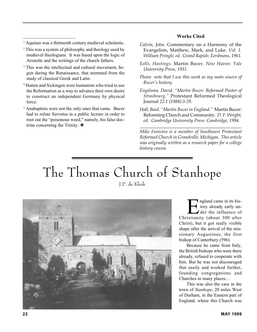#### **Works Cited**

<sup>1</sup> Aquinas was a thirteenth century medieval scholastic.

 $\mathcal{L}_\text{max}$  , where  $\mathcal{L}_\text{max}$ 

- 2 This was a system of philosophy and theology used by medieval theologians. It was based upon the logic of Aristotle and the writings of the church fathers.
- <sup>3</sup> This was the intellectual and cultural movement, begun during the Renaissance, that stemmed from the study of classical Greek and Latin.
- 4 Hutten and Sickingen were humanists who tried to use the Reformation as a way to advance their own desire to construct an independent Germany by physical force.
- <sup>5</sup> Anabaptists were not the only ones that came. Bucer had to refute Servetus in a public lecture in order to root out the "poisonous weed," namely, his false doctrine concerning the Trinity. ❖
- *Calvin, John.* Commentary on a Harmony of the Evangelists, Matthew, Mark, and Luke*. Vol. 1. William Pringle, ed. Grand Rapids: Eerdmans, 1961.*
- *Eells, Hastings.* Martin Bucer*. New Haven: Yale University Press, 1931.*
- *Please note that I use this work as my main source of Bucer's history.*
- *Engelsma, David. "Martin Bucer: Reformed Pastor of Strasbourg."* Protestant Reformed Theological Journal *22.1 (1988):3-29.*
- *Hall, Basil. "Martin Bucer in England."* Martin Bucer: Reforming Church and Community*. D. F. Wright, ed. Cambridge University Press: Cambridge, 1994.*

*\_\_\_\_\_\_\_\_\_\_\_\_\_\_\_\_\_\_\_\_\_\_\_\_\_\_\_\_\_\_\_\_\_\_\_\_\_\_\_\_\_\_\_\_\_\_\_\_\_\_\_\_\_\_*

*Mike Feenstra is a member of Southwest Protestant Reformed Church in Grandville, Michigan. This article was originally written as a research paper for a college history course.*

## The Thomas Church of Stanhope J.P. de Klerk



**Example 1** and came in its his-<br>tory already early un-<br>der the influence of tory already early un-Christianity (about 300 after Christ), but it got really visible shape after the arrival of the missionary Augustinus, the first bishop of Canterbury (596).

Because he came from Italy, the British bishops who were there already, refused to cooperate with him. But he was not discouraged that easily and worked further, founding congregations and Churches in many places…

This was also the case in the town of *Stanhope*, 20 miles West of Durham, in the Eastern part of England, where this Church was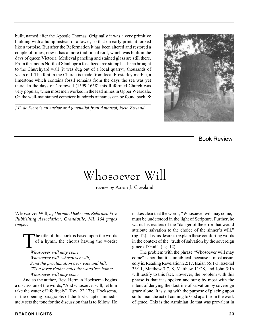built, named after the Apostle Thomas. Originally it was a very primitive building with a hump instead of a tower, so that on early prints it looked like a tortoise. But after the Reformation it has been altered and restored a couple of times; now it has a more traditional roof, which was built in the days of queen Victoria. Medieval paneling and stained glass are still there. From the moors North of Stanhope a fossilized tree stump has been brought to the Churchyard wall (it was dug out of a local quarry), thousands of years old. The font in the Church is made from local Frosterley marble, a limestone which contains fossil remains from the days the sea was yet there. In the days of Cromwell (1599-1658) this Reformed Church was very popular, when most men worked in the lead mines in Upper Weardale. On the well-maintained cemetery hundreds of names can be found back. ❖

*J.P. de Klerk is an author and journalist from Amhurst, New Zeeland.*

*\_\_\_\_\_\_\_\_\_\_\_\_\_\_\_\_\_\_\_\_\_\_\_\_\_\_\_\_\_\_\_\_\_\_\_\_\_\_\_\_\_\_\_\_\_\_\_\_\_\_\_\_\_\_\_\_\_\_\_\_\_\_\_*



Book Review

## Whosoever Will

review by Aaron J. Cleveland

Whosoever Will*, by Herman Hoeksema. Reformed Free Publishing Association, Grandville, MI. 164 pages (paper).*

The title of this book is based upon the words<br>of a hymn, the chorus having the words:<br>Whosequay will may gome of a hymn, the chorus having the words:

*Whosoever will may come. Whosoever will, whosoever will; Send the proclamation over vale and hill; 'Tis a lover Father calls the wand'rer home: Whosoever will may come.*

And so the author, Rev. Herman Hoeksema begins a discussion of the words, "And whosoever will, let him take the water of life freely" (Rev. 22:17b). Hoeksema, in the opening paragraphs of the first chapter immediately sets the tone for the discussion that is to follow. He

makes clear that the words, "Whosoever will may come," must be understood in the light of Scripture. Further, he warns his readers of the "danger of the error that would attribute salvation to the choice of the sinner's will." (pg. 12). It is his desire to explain these comforting words in the context of the "truth of salvation by the sovereign grace of God." (pg. 12).

The problem with the phrase "Whosoever will may come" is not that it is unbiblical, because it most assuredly is. Reading Revelation 22:17, Isaiah 55:1-3, Ezekiel 33:11, Matthew 7:7, 8, Matthew 11:28, and John 3:16 will testify to this fact. However, the problem with this phrase is that it is spoken and sung by most with the intent of denying the doctrine of salvation by sovereign grace alone. It is sung with the purpose of placing upon sinful man the act of coming to God apart from the work of grace. This is the Arminian lie that was prevalent in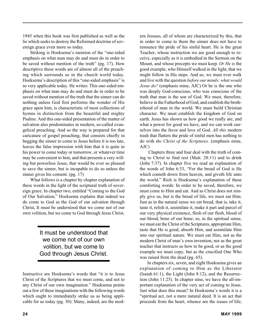1945 when this book was first published as well as the lie which seeks to destroy the Reformed doctrine of sovereign grace even more so today.

Striking is Hoeksema's mention of the "one-sided emphasis on what man may do and must do in order to be saved without mention of the truth" (pg. 17). How descriptive these words are of almost all of the preaching which surrounds us in the church world today. Hoeksema's description of this "one-sided emphasis" is so very applicable today. He writes: This one-sided emphasis on what man may do and must do in order to be saved without mention of the truth that the sinner can do nothing unless God first performs the wonder of His grace upon him, is characteristic of most collections of hymns in distinction from the beautiful and mighty Psalms. And this one-sided presentation of the matter of salvation also predominates in modern, so-called evangelical preaching. And so the way is prepared for that caricature of gospel preaching, that consists chiefly in begging the sinner to come to Jesus before it is too late, leaves the false impression with him that it is quite in his power to come today or tomorrow, or whatever time may be convenient to him, and that presents a very willing but powerless Jesus, that would be ever so pleased to save the sinner, but is incapable to do so unless the sinner gives his consent. (pg. 17)

What follows is a chapter by chapter explanation of these words in the light of the scriptural truth of sovereign grace. In chapter two, entitled "Coming to the God of Our Salvation," Hoeksema explains that indeed we do come to God as the God of our salvation through Christ**.** It must be understood that we come not of our own volition, but we come to God through Jesus Christ.

> It must be understood that we come not of our own volition, but we come to God through Jesus Christ.

Instructive are Hoeksema's words that "it is to Jesus Christ of the Scriptures that we must come, and not to any Christ of our own imagination." Hoeksema points out a few of these imaginations with the following words which ought to immediately strike us as being applicable for us today (pg. 30): Many, indeed, are the modern Jesuses, all of whom are characterized by this, that in order to come to them the sinner does not have to renounce the pride of his sinful heart. He is the great Teacher, whose instruction we are good enough to receive, especially as it is embodied in the Sermon on the Mount, and whose precepts we must keep. *Or He is* the good example, who Himself walked in the light, that we might follow in His steps. And so, we must ever walk and live with the question *before our minds: what would Jesus do?* (emphasis mine, AJC) Or he is the one who was deeply God-conscious, who was conscious of the truth that man is the son of God. We must, therefore, believe in the Fatherhood of God, and establish the brotherhood of man in the world. We must build Christian character. We must establish the kingdom of God on earth. Jesus has shown us how good we really are, and what a power for good we have, and we can work ourselves into the favor and love of God. *All this* modern trash that flatters the pride of sinful men has nothing to do with *the Christ of the Scriptures*. (emphasis mine, AJC)

 Chapters three and four deal with the truth of coming to Christ to find rest (Matt. 28:11) and to drink (John 7:37). In chapter five we read an explanation of the words of John 6:33, "For the bread of God is He which cometh down from heaven, and giveth life unto the world." Rich is Hoeksema's explanation of these comforting words: In order to be saved, therefore, we must come to Him and eat. And as Christ does not simply give us, but is the bread of life, we must eat Him. Just as in the natural sense we eat bread, that is, take it, taste it, relish it, assimilate it, make it part and parcel of our very physical existence, flesh of our flesh, blood of our blood, bone of our bone; so, in the spiritual sense, we must eat the Christ of the Scriptures, appropriate Him, taste that He is good, absorb Him, and assimilate Him into our spiritual nature. We must eat Him, not as the modern Christ of man's own invention, not as the great teacher that instructs us how to be good, or as the good example we must copy, but as the crucified One Who was raised from the dead (pg. 65).

In chapters six, seven, and eight Hoeksema gives an explanation of coming to Him as the Liberator (Isaiah 61:1), the Light (John 8:12), and the Resurrection (John 11:25). In chapter nine, we have the all-important explanation of the very act of coming to Jesus. Just what does this mean? In Hoeksema's words it is a "spiritual act, not a mere natural deed. It is an act that proceeds from the heart, whence are the issues of life;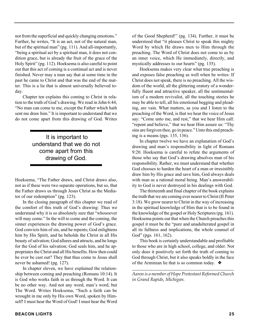not from the superficial and quickly changing emotions." Further, he writes, "It is an act, not of the natural man, but of the spiritual man" (pg. 111). And all-importantly, "being a spiritual act by a spiritual man, it does not condition grace, but is already the fruit of the grace of the Holy Spirit" (pg. 112). Hoeksema is also careful to point out that this act of coming is a continual act and is never finished. Never may a man say that at some time in the past he came to Christ and that was the end of the matter. This is a lie that is almost universally believed today.

Chapter ten explains this coming to Christ in relation to the truth of God's drawing. We read in John 6:44, "No man can come to me, except the Father which hath sent me draw him." It is important to understand that we do not come apart from this drawing of God. Writes

### It is important to understand that we do not come apart from this drawing of God.

Hoeksema, "The Father draws, and Christ draws also, not as if these were two separate operations, but so, that the Father draws us through Jesus Christ as the Mediator of our redemption" (pg. 123).

In the closing paragraph of this chapter we read of the comfort of this truth of God's drawing: Thus we understand why it is so absolutely sure that "whosoever will may come." In the will to come and the coming, the sinner experiences the drawing power of God's grace. God convicts him of sin, and he repents; God enlightens him by His Spirit, and he beholds the Christ in all His beauty of salvation; God allures and attracts, and he longs for the God of his salvation; God seals him, and he appropriates the Christ and all His benefits. How then could he ever be cast out? They that thus come to Jesus shall never be ashamed! (pg. 127).

In chapter eleven, we have explained the relationship between coming and preaching (Romans 10:14). It is God who works faith in us through the Word. It can be no other way. And not any word, man's word, but The Word. Writes Hoeksema, "Such a faith can be wrought in me only by His own Word, spoken by Himself! I must hear the Word of God! I must hear the Word

of the Good Shepherd!" (pg. 134). Further, it must be understood that "it pleases Christ to speak this mighty Word by which He draws men to Him through the preaching. The Word of Christ does not come to us by an inner voice, which He immediately, directly, and mystically addresses to our hearts" (pg. 135).

Hoeksema makes very clear what true preaching is and exposes false preaching as well when he writes: If Christ does not speak, there is no preaching. All the wisdom of the world, all the glittering oratory of a wonderfully fluent and attractive speaker, all the sentimentalism of a modern revivalist, all the touching stories he may be able to tell, all his emotional begging and pleading, are vain. What matters, as you and I listen to the preaching of the Word, is that we hear the voice of Jesus say: "Come unto me, and rest," that we hear Him call: "repent and believe," that we hear Him assure us: "Thy sins are forgiven thee, go in peace." Unto this end preaching is a means (pgs. 135, 136).

In chapter twelve we have an explanation of God's drawing and man's responsibility in light of Romans 9:20. Hoeksema is careful to refute the arguments of those who say that God's drawing absolves man of his responsibility. Rather, we must understand that whether God chooses to harden the heart of a man or irresistibly draw him by His grace and save him, God always deals with man as a rational moral being. Man's answerability to God is never destroyed in his dealings with God.

The thirteenth and final chapter of the book explains the truth that we are coming ever nearer to Christ (II Peter 3:18). We grow nearer to Christ in the way of increasing in the spiritual knowledge of Him that is to be found in the knowledge of the gospel or Holy Scriptures (pg. 161). Hoeksema points out that when the Church preaches this gospel it must be the "pure and unadulterated gospel in all its fullness and implications, the whole counsel of God" (pgs. 161, 162).

This book is certainly understandable and profitable to those who are in high school, college, and older. Not only does it positively set forth the truth of coming to God through Christ, but it also speaks boldly in the face of the Arminian lie that is so common today. ❖

*\_\_\_\_\_\_\_\_\_\_\_\_\_\_\_\_\_\_\_\_\_\_\_\_\_\_\_\_\_\_\_\_\_\_\_\_\_\_\_\_\_\_\_\_\_\_\_\_ Aaron is a member of Hope Protestant Reformed Church in Grand Rapids, Michigan.*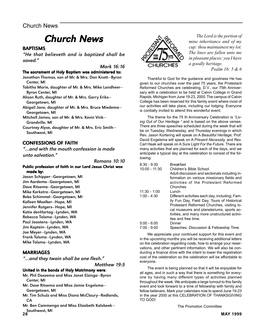### Church News

## Chur Church News

#### BAPTISMS

"He that believeth and is baptized shall be saved."

Mark 16:16

#### The sacrament of Holy Baptism was administered to:

Jonathan Thomas, son of Mr. & Mrs. Dan Knott—Byron Center, MI

Tabitha Marie, daughter of Mr. & Mrs. Mike Landheer— Byron Center, MI

Alison Ruth, daughter of Mr. & Mrs. Garry Eriks— Georgetown, MI

Abigail Jane, daughter of Mr. & Mrs. Bruce Miedema— Georgetown, MI

- Mitchell James, son of Mr. & Mrs. Kevin Vink— Grandville, MI
- Courtney Alyse, daughter of Mr. & Mrs. Eric Smith— Southwest, MI

#### CONFESSIONS OF FAITH

"…and with the mouth confession is made unto salvation."

Romans 10:10

#### Public profession of faith in our Lord Jesus Christ was made by:

Jason Schipper—Georgetown, MI Jim Aardema—Georgetown, MI Dave Ritsema—Georgetown, MI Mike Kerkstra—Georgetown, MI Beka Schimmel—Georgetown, MI Kolleen Moelker—Hope, MI Jennifer Rutgers—Hope, MI Katie denHartog—Lynden, WA Rebecca Tolsma—Lynden, WA Paul Joostens—Lynden, WA Jim Kaptein—Lynden, WA Joe Meyer—Lynden, WA Frank Tolsma—Lynden, WA Mike Tolsma—Lynden, WA

#### **MARRIAGES**

"…and they twain shall be one flesh."

Matthew 19:5

#### United in the bonds of Holy Matrimony were:

- Mr. Phil Doezema and Miss Janet Elzinga—Byron Center, MI
- Mr. Dave Ritsema and Miss Jamie Engelsma— Georgetown, MI
- Mr. Tim Schulz and Miss Diana McClaury—Redlands, **CA**
- **26 MAY 1999** Mr. Ben Cammenga and Miss Elizabeth Kalsbeek— Southwest, MI<br>26



*The Lord is the portion of mine inheritance and of my cup: thou maintainest my lot. The lines are fallen unto me in pleasant places; yea I have a goodly heritage. Psalm 16: 5 & 6*

Thankful to God for the guidance and goodness He has given to our churches over the past 75 years, the Protestant Reformed Churches are celebrating, D.V., our 75th Anniversary with a celebration to be held at Calvin College in Grand Rapids, Michigan from June 19-23, 2000. The campus of Calvin College has been reserved for this family event where most of our activities will take place, including our lodging. Everyone is cordially invited to attend this wonderful event.

The theme for the 75 th Anniversary Celebration is *"Living Out of Our Heritage "* and is based on the above verses. There are three speeches scheduled during the week that will be on Tuesday, Wednesday, and Thursday evenings in which Rev. Jason Kortering will speak on A *Beautiful Heritage,* Prof. David Engelsma will speak on A *Present Necessity,* and Rev. Carl Haak will speak on A *Sure Light For the Future.* There are many activities that are planned for each of the days, and we anticipate a typical day at the celebration to consist of the following:

| $8:30 - 9:30$   | <b>Breakfast</b>                               |
|-----------------|------------------------------------------------|
| $10:00 - 11:30$ | Children's Bible School                        |
|                 | Adult discussion and sectionals including in-  |
|                 | formation on various missionary fields and     |
|                 | activities of the Protestant Reformed          |
|                 | Churches                                       |
| $11:30 - 1:00$  | Lunch                                          |
| $1:00 - 4:30$   | Different activities each day, including; Fam- |
|                 | ily Fun Day, Field Day, Tours of Historical    |
|                 | Protestant Reformed Churches, visiting lo-     |
|                 | cal museums and planetariums, sports ac-       |
|                 | tivities, and many more unstructured activi-   |
|                 | ties and free time.                            |
| $5:00 - 6:00$   | Dinner                                         |
| $7:00 - 9:00$   | Speeches, Discussion & Fellowship Time         |
|                 |                                                |

We appreciate your continued support for this event and in the upcoming months you will be receiving additional letters on the celebration regarding costs, how to arrange your reservations, and other pertinent information. We will also be conducting a finance drive with the intent to lower the registration cost of the celebration so the celebration will be affordable to everyone.

The event is being planned so that it will be enjoyable for all ages, and in such a way that there is something for everyone by having many different types of activities planned throughout the week. We anticipate a large turnout to this family event and look forward to a time of fellowship with family and fellow believers. Mark your calendars now to spend June 19-23 in the year 2000 at this CELEBRATION OF THANKSGIVING TO GOD!

The Promotion Committee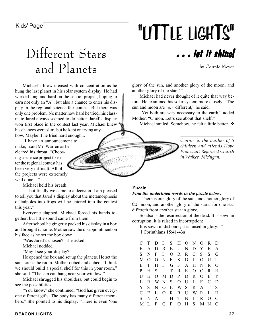# Kids' Page **1998 12 September 1998 11 THE LIGHTS"**

# Different Stars and Planets

Michael's brow creased with concentration as he hung the last planet in his solar system display. He had worked long and hard on the school project, hoping to earn not only an "A", but also a chance to enter his display in the regional science fair contest. But there was only one problem. No matter how hard he tried, his classmate Jared always seemed to do better. Jared's display won first place in the contest last year. Michael knew his chances were slim, but he kept on trying anyhow. Maybe if he tried hard enough...

"I have an announcement to make," said Mr. Warren as he cleared his throat. "Choosing a science project to enter the regional contest has been very difficult. All of the projects were extremely well done—"

Michael held his breath.

"—but finally we came to a decision. I am pleased to tell you that Jared's display about the metamorphosis of tadpoles into frogs will be entered into the contest this year."

Everyone clapped. Michael forced his hands together, but little sound came from them.

After school he gingerly packed his display in a box and brought it home. Mother saw the disappointment on his face as he set the box down.

"Was Jared's chosen?" she asked.

Michael nodded.

"May I see your display?"

He opened the box and set up the planets. He set the sun across the room. Mother oohed and ahhed. "I think we should build a special shelf for this in your room," she said. "The sun can hang near your window."

Michael shrugged his shoulders, but could begin to see the possibilities.

"You know," she continued, "God has given everyone different gifts. The body has many different members." She pointed to his display. "There is even 'one

## . . . let it shine!

by Connie Meyer

glory of the sun, and another glory of the moon, and another glory of the stars'."

Michael had never thought of it quite that way before. He examined his solar system more closely. "The sun and moon are *very* different," he said.

"Yet both are *very* necessary to the earth," added Mother. "C'mon. Let's see about that shelf."

Michael smiled. Somehow, he felt a little better. ❖

*Connie is the mother of 5 children and attends Hope Protestant Reformed Church in Walker, Michigan.*

*\_\_\_\_\_\_\_\_\_\_\_\_\_\_\_\_\_\_\_\_\_\_\_\_\_\_\_\_\_\_\_\_\_\_\_\_\_\_\_\_\_\_\_\_\_\_*

#### **Puzzle**

#### *Find the underlined words in the puzzle below:*

"There is one glory of the sun, and another glory of the moon, and another glory of the stars: for one star differeth from another star in glory.

So also is the resurrection of the dead. It is sown in corruption; it is raised in incorruption:

It is sown in dishonor; it is raised in glory..." I Corinthians 15:41-43a

| C             | T        |              |              |       |              |       | D I S H O N   | $O$ R        |             | D        |
|---------------|----------|--------------|--------------|-------|--------------|-------|---------------|--------------|-------------|----------|
| Е             | A        |              |              |       |              |       | D R E U N D Y |              | E           | A        |
| S             | N        | P            | $\mathbf{I}$ |       | O R          |       | R C           | S.           | S           | G        |
| M             | $\Omega$ |              |              |       | ONFS         | $D$ I |               | $\Omega$     | U           | L        |
| E             | T        |              | $H$ I        |       | $G$ F        |       | A H           | N            | R           | $\Omega$ |
| P             | H        | $S_{-}$      |              | L T   | $\mathbf{R}$ | E     | $O$ C         |              | R           | R        |
| U             | E        |              |              |       | $O$ M D P    |       | D R           | $\Omega$     | E           | Y        |
| L             | R.       |              | WNS          |       |              |       | $O$ $U$ $I$   | E            | C           | D.       |
| Y             | S.       | N            |              |       | O E W S      |       | R             | $\mathsf{A}$ | T           | S        |
| $\mathcal{C}$ | E        | L            |              |       |              |       | ORRUWR        |              | $\mathbf I$ | H        |
| S             | N        | $\mathsf{A}$ | $\mathbf{I}$ |       | $H$ T        |       | N I           | R.           | $\Omega$    | C        |
| M             | L        | F            |              | $G$ F |              |       | OHS           | M            | N           | C        |